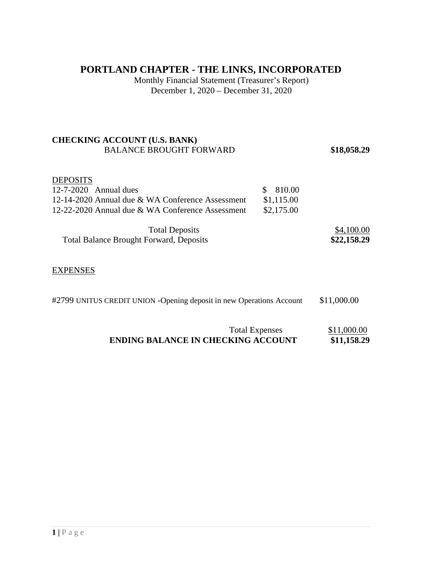## **PORTLAND CHAPTER - THE LINKS, INCORPORATED**

Monthly Financial Statement (Treasurer's Report) December 1, 2020 – December 31, 2020

#### **CHECKING ACCOUNT (U.S. BANK)**  BALANCE BROUGHT FORWARD **\$18,058.29**

## **DEPOSITS**

| $12 - 7 - 2020$ Annual dues                      | \$ 810.00  |            |
|--------------------------------------------------|------------|------------|
| 12-14-2020 Annual due & WA Conference Assessment | \$1,115.00 |            |
| 12-22-2020 Annual due & WA Conference Assessment | \$2,175.00 |            |
| <b>Total Deposits</b>                            |            | \$4,100.00 |

| TOTAL DEPOSITS                                 | <b>J4,100.00</b> |
|------------------------------------------------|------------------|
| <b>Total Balance Brought Forward, Deposits</b> | \$22,158.29      |

#### **EXPENSES**

|  | #2799 UNITUS CREDIT UNION -Opening deposit in new Operations Account | \$11,000.00 |
|--|----------------------------------------------------------------------|-------------|
|--|----------------------------------------------------------------------|-------------|

| <b>Total Expenses</b>                     | \$11,000.00 |
|-------------------------------------------|-------------|
| <b>ENDING BALANCE IN CHECKING ACCOUNT</b> | \$11,158.29 |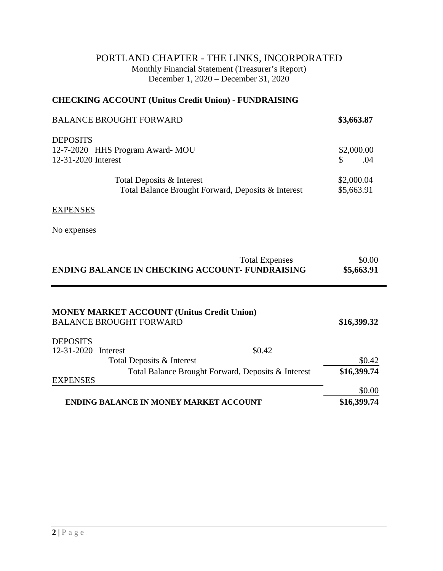## PORTLAND CHAPTER - THE LINKS, INCORPORATED Monthly Financial Statement (Treasurer's Report) December 1, 2020 – December 31, 2020

### **CHECKING ACCOUNT (Unitus Credit Union) - FUNDRAISING**

| <b>BALANCE BROUGHT FORWARD</b>                                                  | \$3,663.87               |
|---------------------------------------------------------------------------------|--------------------------|
| <b>DEPOSITS</b><br>12-7-2020 HHS Program Award-MOU<br>12-31-2020 Interest       | \$2,000.00<br>\$<br>.04  |
| Total Deposits & Interest<br>Total Balance Brought Forward, Deposits & Interest | \$2,000.04<br>\$5,663.91 |
| <b>EXPENSES</b>                                                                 |                          |
| No expenses                                                                     |                          |

| <b>Total Expenses</b>                                  | \$0.00     |
|--------------------------------------------------------|------------|
| <b>ENDING BALANCE IN CHECKING ACCOUNT- FUNDRAISING</b> | \$5,663.91 |

| <b>MONEY MARKET ACCOUNT (Unitus Credit Union)</b><br><b>BALANCE BROUGHT FORWARD</b> |                                                    | \$16,399.32 |
|-------------------------------------------------------------------------------------|----------------------------------------------------|-------------|
| <b>DEPOSITS</b>                                                                     |                                                    |             |
| 12-31-2020<br>Interest                                                              | \$0.42                                             |             |
| Total Deposits & Interest                                                           |                                                    | \$0.42      |
|                                                                                     | Total Balance Brought Forward, Deposits & Interest | \$16,399.74 |
| <b>EXPENSES</b>                                                                     |                                                    |             |
|                                                                                     |                                                    | \$0.00      |
| <b>ENDING BALANCE IN MONEY MARKET ACCOUNT</b>                                       |                                                    | \$16,399.74 |